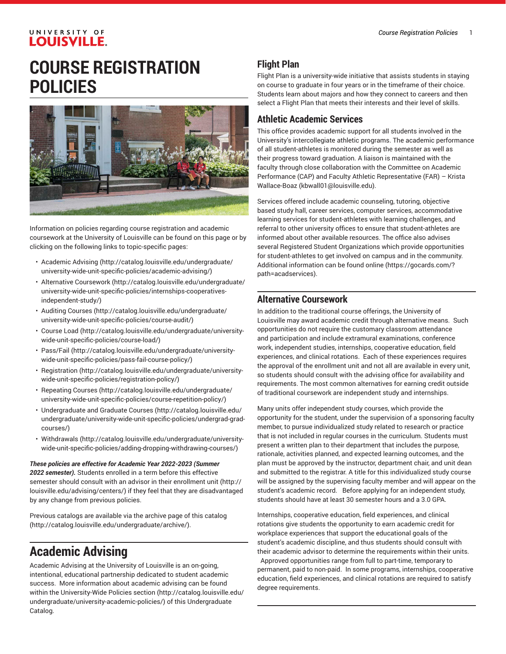# **COURSE REGISTRATION POLICIES**



Information on policies regarding course registration and academic coursework at the University of Louisville can be found on this page or by clicking on the following links to topic-specific pages:

- [Academic Advising \(http://catalog.louisville.edu/undergraduate/](http://catalog.louisville.edu/undergraduate/university-wide-unit-specific-policies/academic-advising/) [university-wide-unit-specific-policies/academic-advising/](http://catalog.louisville.edu/undergraduate/university-wide-unit-specific-policies/academic-advising/))
- Alternative [Coursework](http://catalog.louisville.edu/undergraduate/university-wide-unit-specific-policies/internships-cooperatives-independent-study/) [\(http://catalog.louisville.edu/undergraduate/](http://catalog.louisville.edu/undergraduate/university-wide-unit-specific-policies/internships-cooperatives-independent-study/) [university-wide-unit-specific-policies/internships-cooperatives](http://catalog.louisville.edu/undergraduate/university-wide-unit-specific-policies/internships-cooperatives-independent-study/)[independent-study/](http://catalog.louisville.edu/undergraduate/university-wide-unit-specific-policies/internships-cooperatives-independent-study/))
- [Auditing Courses \(http://catalog.louisville.edu/undergraduate/](http://catalog.louisville.edu/undergraduate/university-wide-unit-specific-policies/course-audit/) [university-wide-unit-specific-policies/course-audit/\)](http://catalog.louisville.edu/undergraduate/university-wide-unit-specific-policies/course-audit/)
- [Course Load](http://catalog.louisville.edu/undergraduate/university-wide-unit-specific-policies/course-load/) ([http://catalog.louisville.edu/undergraduate/university](http://catalog.louisville.edu/undergraduate/university-wide-unit-specific-policies/course-load/)[wide-unit-specific-policies/course-load/\)](http://catalog.louisville.edu/undergraduate/university-wide-unit-specific-policies/course-load/)
- [Pass/Fail](http://catalog.louisville.edu/undergraduate/university-wide-unit-specific-policies/pass-fail-course-policy/) ([http://catalog.louisville.edu/undergraduate/university](http://catalog.louisville.edu/undergraduate/university-wide-unit-specific-policies/pass-fail-course-policy/)[wide-unit-specific-policies/pass-fail-course-policy/](http://catalog.louisville.edu/undergraduate/university-wide-unit-specific-policies/pass-fail-course-policy/))
- [Registration](http://catalog.louisville.edu/undergraduate/university-wide-unit-specific-policies/registration-policy/) ([http://catalog.louisville.edu/undergraduate/university](http://catalog.louisville.edu/undergraduate/university-wide-unit-specific-policies/registration-policy/)[wide-unit-specific-policies/registration-policy/](http://catalog.louisville.edu/undergraduate/university-wide-unit-specific-policies/registration-policy/))
- [Repeating Courses](http://catalog.louisville.edu/undergraduate/university-wide-unit-specific-policies/course-repetition-policy/) ([http://catalog.louisville.edu/undergraduate/](http://catalog.louisville.edu/undergraduate/university-wide-unit-specific-policies/course-repetition-policy/) [university-wide-unit-specific-policies/course-repetition-policy/](http://catalog.louisville.edu/undergraduate/university-wide-unit-specific-policies/course-repetition-policy/))
- [Undergraduate](http://catalog.louisville.edu/undergraduate/university-wide-unit-specific-policies/undergrad-grad-courses/) and Graduate Courses [\(http://catalog.louisville.edu/](http://catalog.louisville.edu/undergraduate/university-wide-unit-specific-policies/undergrad-grad-courses/) [undergraduate/university-wide-unit-specific-policies/undergrad-grad](http://catalog.louisville.edu/undergraduate/university-wide-unit-specific-policies/undergrad-grad-courses/)[courses/\)](http://catalog.louisville.edu/undergraduate/university-wide-unit-specific-policies/undergrad-grad-courses/)
- [Withdrawals \(http://catalog.louisville.edu/undergraduate/university](http://catalog.louisville.edu/undergraduate/university-wide-unit-specific-policies/adding-dropping-withdrawing-courses/)[wide-unit-specific-policies/adding-dropping-withdrawing-courses/](http://catalog.louisville.edu/undergraduate/university-wide-unit-specific-policies/adding-dropping-withdrawing-courses/))

*These policies are effective for Academic Year 2022-2023 (Summer 2022 semester).* Students enrolled in a term before this effective semester should consult with an advisor in their [enrollment](http://louisville.edu/advising/centers/) unit [\(http://](http://louisville.edu/advising/centers/) [louisville.edu/advising/centers/](http://louisville.edu/advising/centers/)) if they feel that they are disadvantaged by any change from previous policies.

Previous catalogs are available via the archive page of this [catalog](http://catalog.louisville.edu/undergraduate/archive/) ([http://catalog.louisville.edu/undergraduate/archive/\)](http://catalog.louisville.edu/undergraduate/archive/).

## **Academic Advising**

Academic Advising at the University of Louisville is an on-going, intentional, educational partnership dedicated to student academic success. More information about academic advising can be found within the [University-Wide](http://catalog.louisville.edu/undergraduate/university-academic-policies/) Policies section ([http://catalog.louisville.edu/](http://catalog.louisville.edu/undergraduate/university-academic-policies/) [undergraduate/university-academic-policies/](http://catalog.louisville.edu/undergraduate/university-academic-policies/)) of this Undergraduate Catalog.

## **Flight Plan**

Flight Plan is a university-wide initiative that assists students in staying on course to graduate in four years or in the timeframe of their choice. Students learn about majors and how they connect to careers and then select a Flight Plan that meets their interests and their level of skills.

#### **Athletic Academic Services**

This office provides academic support for all students involved in the University's intercollegiate athletic programs. The academic performance of all student-athletes is monitored during the semester as well as their progress toward graduation. A liaison is maintained with the faculty through close collaboration with the Committee on Academic Performance (CAP) and Faculty Athletic Representative (FAR) – [Krista](mailto:kbwall01@louisville.edu) [Wallace-Boaz](mailto:kbwall01@louisville.edu) [\(kbwall01@louisville.edu\)](kbwall01@louisville.edu).

Services offered include academic counseling, tutoring, objective based study hall, career services, computer services, accommodative learning services for student-athletes with learning challenges, and referral to other university offices to ensure that student-athletes are informed about other available resources. The office also advises several Registered Student Organizations which provide opportunities for student-athletes to get involved on campus and in the community. [Additional information can be found online](https://gocards.com/?path=acadservices) [\(https://gocards.com/?](https://gocards.com/?path=acadservices) [path=acadservices\)](https://gocards.com/?path=acadservices).

### **Alternative Coursework**

In addition to the traditional course offerings, the University of Louisville may award academic credit through alternative means. Such opportunities do not require the customary classroom attendance and participation and include extramural examinations, conference work, independent studies, internships, cooperative education, field experiences, and clinical rotations. Each of these experiences requires the approval of the enrollment unit and not all are available in every unit, so students should consult with the advising office for availability and requirements. The most common alternatives for earning credit outside of traditional coursework are independent study and internships.

Many units offer independent study courses, which provide the opportunity for the student, under the supervision of a sponsoring faculty member, to pursue individualized study related to research or practice that is not included in regular courses in the curriculum. Students must present a written plan to their department that includes the purpose, rationale, activities planned, and expected learning outcomes, and the plan must be approved by the instructor, department chair, and unit dean and submitted to the registrar. A title for this individualized study course will be assigned by the supervising faculty member and will appear on the student's academic record. Before applying for an independent study, students should have at least 30 semester hours and a 3.0 GPA.

Internships, cooperative education, field experiences, and clinical rotations give students the opportunity to earn academic credit for workplace experiences that support the educational goals of the student's academic discipline, and thus students should consult with their academic advisor to determine the requirements within their units. Approved opportunities range from full to part-time, temporary to permanent, paid to non-paid. In some programs, internships, cooperative education, field experiences, and clinical rotations are required to satisfy degree requirements.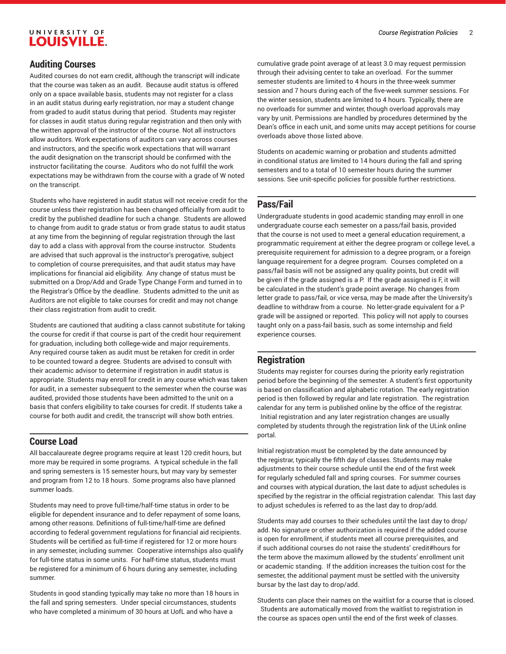#### *Course Registration Policies* 2

#### **Auditing Courses**

Audited courses do not earn credit, although the transcript will indicate that the course was taken as an audit. Because audit status is offered only on a space available basis, students may not register for a class in an audit status during early registration, nor may a student change from graded to audit status during that period. Students may register for classes in audit status during regular registration and then only with the written approval of the instructor of the course. Not all instructors allow auditors. Work expectations of auditors can vary across courses and instructors, and the specific work expectations that will warrant the audit designation on the transcript should be confirmed with the instructor facilitating the course. Auditors who do not fulfill the work expectations may be withdrawn from the course with a grade of W noted on the transcript.

Students who have registered in audit status will not receive credit for the course unless their registration has been changed officially from audit to credit by the published deadline for such a change. Students are allowed to change from audit to grade status or from grade status to audit status at any time from the beginning of regular registration through the last day to add a class with approval from the course instructor. Students are advised that such approval is the instructor's prerogative, subject to completion of course prerequisites, and that audit status may have implications for financial aid eligibility. Any change of status must be submitted on a Drop/Add and Grade Type Change Form and turned in to the Registrar's Office by the deadline. Students admitted to the unit as Auditors are not eligible to take courses for credit and may not change their class registration from audit to credit.

Students are cautioned that auditing a class cannot substitute for taking the course for credit if that course is part of the credit hour requirement for graduation, including both college-wide and major requirements. Any required course taken as audit must be retaken for credit in order to be counted toward a degree. Students are advised to consult with their academic advisor to determine if registration in audit status is appropriate. Students may enroll for credit in any course which was taken for audit, in a semester subsequent to the semester when the course was audited, provided those students have been admitted to the unit on a basis that confers eligibility to take courses for credit. If students take a course for both audit and credit, the transcript will show both entries.

#### **Course Load**

All baccalaureate degree programs require at least 120 credit hours, but more may be required in some programs. A typical schedule in the fall and spring semesters is 15 semester hours, but may vary by semester and program from 12 to 18 hours. Some programs also have planned summer loads.

Students may need to prove full-time/half-time status in order to be eligible for dependent insurance and to defer repayment of some loans, among other reasons. Definitions of full-time/half-time are defined according to federal government regulations for financial aid recipients. Students will be certified as full-time if registered for 12 or more hours in any semester, including summer. Cooperative internships also qualify for full-time status in some units. For half-time status, students must be registered for a minimum of 6 hours during any semester, including summer.

Students in good standing typically may take no more than 18 hours in the fall and spring semesters. Under special circumstances, students who have completed a minimum of 30 hours at UofL and who have a

cumulative grade point average of at least 3.0 may request permission through their advising center to take an overload. For the summer semester students are limited to 4 hours in the three-week summer session and 7 hours during each of the five-week summer sessions. For the winter session, students are limited to 4 hours. Typically, there are no overloads for summer and winter, though overload approvals may vary by unit. Permissions are handled by procedures determined by the Dean's office in each unit, and some units may accept petitions for course overloads above those listed above.

Students on academic warning or probation and students admitted in conditional status are limited to 14 hours during the fall and spring semesters and to a total of 10 semester hours during the summer sessions. See unit-specific policies for possible further restrictions.

#### **Pass/Fail**

Undergraduate students in good academic standing may enroll in one undergraduate course each semester on a pass/fail basis, provided that the course is not used to meet a general education requirement, a programmatic requirement at either the degree program or college level, a prerequisite requirement for admission to a degree program, or a foreign language requirement for a degree program. Courses completed on a pass/fail basis will not be assigned any quality points, but credit will be given if the grade assigned is a P. If the grade assigned is F, it will be calculated in the student's grade point average. No changes from letter grade to pass/fail, or vice versa, may be made after the University's deadline to withdraw from a course. No letter-grade equivalent for a P grade will be assigned or reported. This policy will not apply to courses taught only on a pass-fail basis, such as some internship and field experience courses.

#### **Registration**

Students may register for courses during the priority early registration period before the beginning of the semester. A student's first opportunity is based on classification and alphabetic rotation. The early registration period is then followed by regular and late registration. The registration calendar for any term is published online by the office of the registrar. Initial registration and any later registration changes are usually completed by students through the registration link of the ULink online portal.

Initial registration must be completed by the date announced by the registrar, typically the fifth day of classes. Students may make adjustments to their course schedule until the end of the first week for regularly scheduled fall and spring courses. For summer courses and courses with atypical duration, the last date to adjust schedules is specified by the registrar in the official registration calendar. This last day to adjust schedules is referred to as the last day to drop/add.

Students may add courses to their schedules until the last day to drop/ add. No signature or other authorization is required if the added course is open for enrollment, if students meet all course prerequisites, and if such additional courses do not raise the students' credit#hours for the term above the maximum allowed by the students' enrollment unit or academic standing. If the addition increases the tuition cost for the semester, the additional payment must be settled with the university bursar by the last day to drop/add.

Students can place their names on the waitlist for a course that is closed. Students are automatically moved from the waitlist to registration in the course as spaces open until the end of the first week of classes.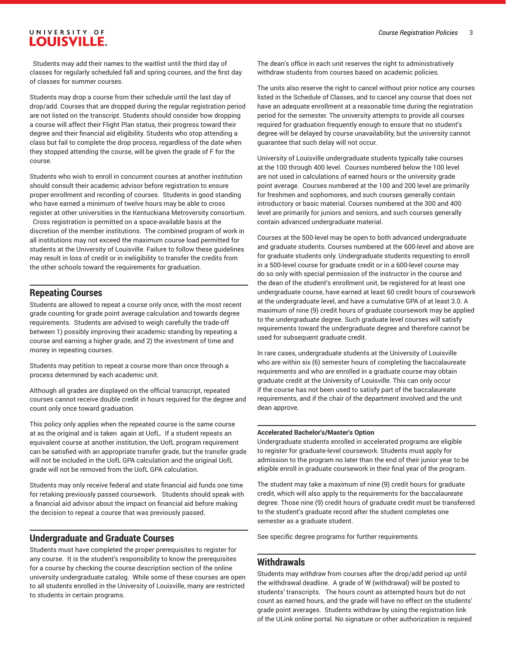Students may add their names to the waitlist until the third day of classes for regularly scheduled fall and spring courses, and the first day of classes for summer courses.

Students may drop a course from their schedule until the last day of drop/add. Courses that are dropped during the regular registration period are not listed on the transcript. Students should consider how dropping a course will affect their Flight Plan status, their progress toward their degree and their financial aid eligibility. Students who stop attending a class but fail to complete the drop process, regardless of the date when they stopped attending the course, will be given the grade of F for the course.

Students who wish to enroll in concurrent courses at another institution should consult their academic advisor before registration to ensure proper enrollment and recording of courses. Students in good standing who have earned a minimum of twelve hours may be able to cross register at other universities in the Kentuckiana Metroversity consortium.

Cross registration is permitted on a space-available basis at the discretion of the member institutions. The combined program of work in all institutions may not exceed the maximum course load permitted for students at the University of Louisville. Failure to follow these guidelines may result in loss of credit or in ineligibility to transfer the credits from the other schools toward the requirements for graduation.

#### **Repeating Courses**

Students are allowed to repeat a course only once, with the most recent grade counting for grade point average calculation and towards degree requirements. Students are advised to weigh carefully the trade-off between 1) possibly improving their academic standing by repeating a course and earning a higher grade, and 2) the investment of time and money in repeating courses.

Students may petition to repeat a course more than once through a process determined by each academic unit.

Although all grades are displayed on the official transcript, repeated courses cannot receive double credit in hours required for the degree and count only once toward graduation.

This policy only applies when the repeated course is the same course at as the original and is taken again at UofL. If a student repeats an equivalent course at another institution, the UofL program requirement can be satisfied with an appropriate transfer grade, but the transfer grade will not be included in the UofL GPA calculation and the original UofL grade will not be removed from the UofL GPA calculation.

Students may only receive federal and state financial aid funds one time for retaking previously passed coursework. Students should speak with a financial aid advisor about the impact on financial aid before making the decision to repeat a course that was previously passed.

#### **Undergraduate and Graduate Courses**

Students must have completed the proper prerequisites to register for any course. It is the student's responsibility to know the prerequisites for a course by checking the course description section of the online university undergraduate catalog. While some of these courses are open to all students enrolled in the University of Louisville, many are restricted to students in certain programs.

The dean's office in each unit reserves the right to administratively withdraw students from courses based on academic policies.

The units also reserve the right to cancel without prior notice any courses listed in the Schedule of Classes, and to cancel any course that does not have an adequate enrollment at a reasonable time during the registration period for the semester. The university attempts to provide all courses required for graduation frequently enough to ensure that no student's degree will be delayed by course unavailability, but the university cannot guarantee that such delay will not occur.

University of Louisville undergraduate students typically take courses at the 100 through 400 level. Courses numbered below the 100 level are not used in calculations of earned hours or the university grade point average. Courses numbered at the 100 and 200 level are primarily for freshmen and sophomores, and such courses generally contain introductory or basic material. Courses numbered at the 300 and 400 level are primarily for juniors and seniors, and such courses generally contain advanced undergraduate material.

Courses at the 500-level may be open to both advanced undergraduate and graduate students. Courses numbered at the 600-level and above are for graduate students only. Undergraduate students requesting to enroll in a 500-level course for graduate credit or in a 600-level course may do so only with special permission of the instructor in the course and the dean of the student's enrollment unit, be registered for at least one undergraduate course, have earned at least 60 credit hours of coursework at the undergraduate level, and have a cumulative GPA of at least 3.0. A maximum of nine (9) credit hours of graduate coursework may be applied to the undergraduate degree. Such graduate level courses will satisfy requirements toward the undergraduate degree and therefore cannot be used for subsequent graduate credit.

In rare cases, undergraduate students at the University of Louisville who are within six (6) semester hours of completing the baccalaureate requirements and who are enrolled in a graduate course may obtain graduate credit at the University of Louisville. This can only occur if the course has not been used to satisfy part of the baccalaureate requirements, and if the chair of the department involved and the unit dean approve.

#### **Accelerated Bachelor's/Master's Option**

Undergraduate students enrolled in accelerated programs are eligible to register for graduate-level coursework. Students must apply for admission to the program no later than the end of their junior year to be eligible enroll in graduate coursework in their final year of the program.

The student may take a maximum of nine (9) credit hours for graduate credit, which will also apply to the requirements for the baccalaureate degree. Those nine (9) credit hours of graduate credit must be transferred to the student's graduate record after the student completes one semester as a graduate student.

See specific degree programs for further requirements.

#### **Withdrawals**

Students may *withdraw* from courses after the drop/add period up until the withdrawal deadline. A grade of W (withdrawal) will be posted to students' transcripts. The hours count as attempted hours but do not count as earned hours, and the grade will have no effect on the students' grade point averages. Students withdraw by using the registration link of the ULink online portal. No signature or other authorization is required